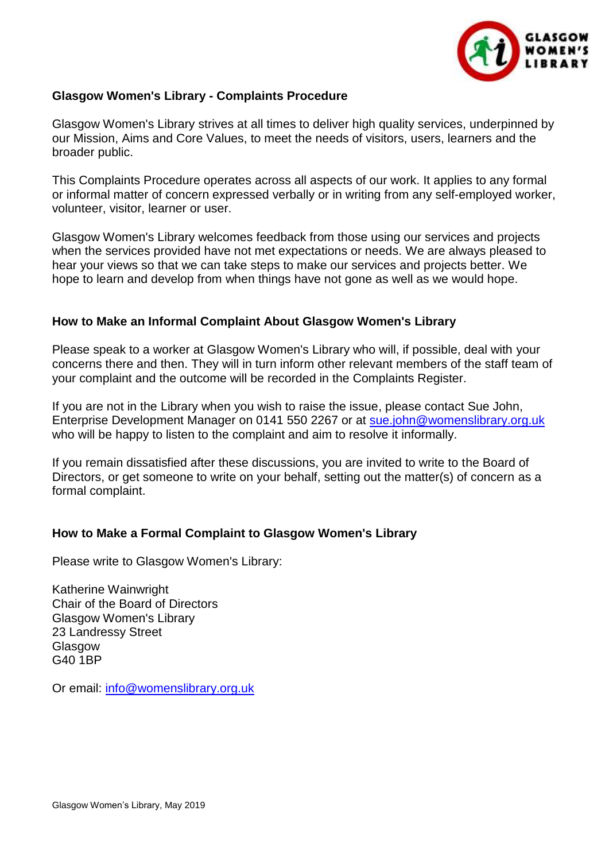

## **Glasgow Women's Library - Complaints Procedure**

Glasgow Women's Library strives at all times to deliver high quality services, underpinned by our Mission, Aims and Core Values, to meet the needs of visitors, users, learners and the broader public.

This Complaints Procedure operates across all aspects of our work. It applies to any formal or informal matter of concern expressed verbally or in writing from any self-employed worker, volunteer, visitor, learner or user.

Glasgow Women's Library welcomes feedback from those using our services and projects when the services provided have not met expectations or needs. We are always pleased to hear your views so that we can take steps to make our services and projects better. We hope to learn and develop from when things have not gone as well as we would hope.

## **How to Make an Informal Complaint About Glasgow Women's Library**

Please speak to a worker at Glasgow Women's Library who will, if possible, deal with your concerns there and then. They will in turn inform other relevant members of the staff team of your complaint and the outcome will be recorded in the Complaints Register.

If you are not in the Library when you wish to raise the issue, please contact Sue John, Enterprise Development Manager on 0141 550 2267 or at [sue.john@womenslibrary.org.uk](mailto:sue.john@womenslibrary.org.uk) who will be happy to listen to the complaint and aim to resolve it informally.

If you remain dissatisfied after these discussions, you are invited to write to the Board of Directors, or get someone to write on your behalf, setting out the matter(s) of concern as a formal complaint.

## **How to Make a Formal Complaint to Glasgow Women's Library**

Please write to Glasgow Women's Library:

Katherine Wainwright Chair of the Board of Directors Glasgow Women's Library 23 Landressy Street **Glasgow** G40 1BP

Or email: [info@womenslibrary.org.uk](mailto:info@womenslibrary.org.uk)